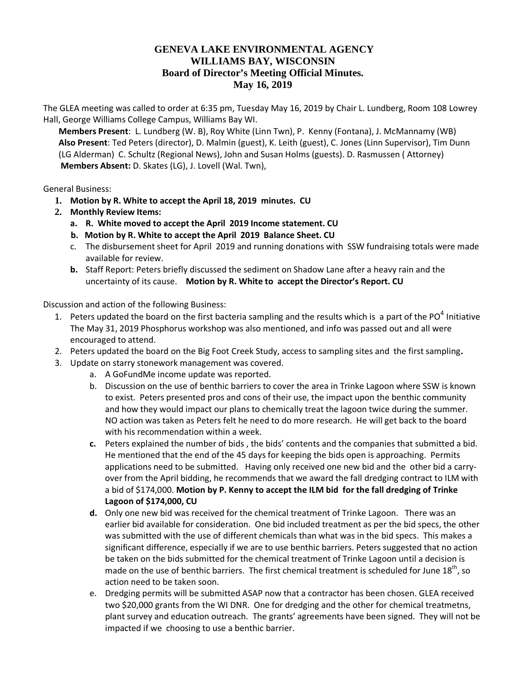## **GENEVA LAKE ENVIRONMENTAL AGENCY WILLIAMS BAY, WISCONSIN Board of Director's Meeting Official Minutes. May 16, 2019**

The GLEA meeting was called to order at 6:35 pm, Tuesday May 16, 2019 by Chair L. Lundberg, Room 108 Lowrey Hall, George Williams College Campus, Williams Bay WI.

**Members Present**: L. Lundberg (W. B), Roy White (Linn Twn), P. Kenny (Fontana), J. McMannamy (WB) **Also Present**: Ted Peters (director), D. Malmin (guest), K. Leith (guest), C. Jones (Linn Supervisor), Tim Dunn (LG Alderman) C. Schultz (Regional News), John and Susan Holms (guests). D. Rasmussen ( Attorney) **Members Absent:** D. Skates (LG), J. Lovell (Wal. Twn),

General Business:

- **1. Motion by R. White to accept the April 18, 2019 minutes. CU**
- **2. Monthly Review Items:**
	- **a. R. White moved to accept the April 2019 Income statement. CU**
	- **b. Motion by R. White to accept the April 2019 Balance Sheet. CU**
	- c. The disbursement sheet for April 2019 and running donations with SSW fundraising totals were made available for review.
	- **b.** Staff Report: Peters briefly discussed the sediment on Shadow Lane after a heavy rain and the uncertainty of its cause. **Motion by R. White to accept the Director's Report. CU**

Discussion and action of the following Business:

- 1. Peters updated the board on the first bacteria sampling and the results which is a part of the PO $^4$  Initiative The May 31, 2019 Phosphorus workshop was also mentioned, and info was passed out and all were encouraged to attend.
- 2. Peters updated the board on the Big Foot Creek Study, access to sampling sites and the first sampling**.**
- 3. Update on starry stonework management was covered.
	- a. A GoFundMe income update was reported.
	- b. Discussion on the use of benthic barriers to cover the area in Trinke Lagoon where SSW is known to exist. Peters presented pros and cons of their use, the impact upon the benthic community and how they would impact our plans to chemically treat the lagoon twice during the summer. NO action was taken as Peters felt he need to do more research. He will get back to the board with his recommendation within a week.
	- **c.** Peters explained the number of bids , the bids' contents and the companies that submitted a bid. He mentioned that the end of the 45 days for keeping the bids open is approaching. Permits applications need to be submitted. Having only received one new bid and the other bid a carryover from the April bidding, he recommends that we award the fall dredging contract to ILM with a bid of \$174,000. **Motion by P. Kenny to accept the ILM bid for the fall dredging of Trinke Lagoon of \$174,000, CU**
	- **d.** Only one new bid was received for the chemical treatment of Trinke Lagoon. There was an earlier bid available for consideration. One bid included treatment as per the bid specs, the other was submitted with the use of different chemicals than what was in the bid specs. This makes a significant difference, especially if we are to use benthic barriers. Peters suggested that no action be taken on the bids submitted for the chemical treatment of Trinke Lagoon until a decision is made on the use of benthic barriers. The first chemical treatment is scheduled for June  $18<sup>th</sup>$ , so action need to be taken soon.
	- e. Dredging permits will be submitted ASAP now that a contractor has been chosen. GLEA received two \$20,000 grants from the WI DNR. One for dredging and the other for chemical treatmetns, plant survey and education outreach. The grants' agreements have been signed. They will not be impacted if we choosing to use a benthic barrier.